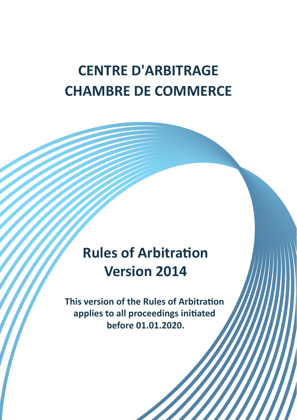# **CENTRE D'ARBITRAGE CHAMBRE DE COMMERCE**

# **Rules of Arbitration Version 2014**

**This version of the Rules of Arbitration applies to all proceedings initiated before 01.01.2020.**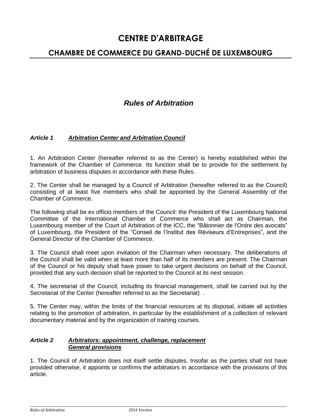### **CHAMBRE DE COMMERCE DU GRAND-DUCHÉ DE LUXEMBOURG**

### *Rules of Arbitration*

#### *Article 1 Arbitration Center and Arbitration Council*

1. An Arbitration Center (hereafter referred to as the Center) is hereby established within the framework of the Chamber of Commerce. Its function shall be to provide for the settlement by arbitration of business disputes in accordance with these Rules.

2. The Center shall be managed by a Council of Arbitration (hereafter referred to as the Council) consisting of at least five members who shall be appointed by the General Assembly of the Chamber of Commerce.

The following shall be ex officio members of the Council: the President of the Luxembourg National Committee of the International Chamber of Commerce who shall act as Chairman, the Luxembourg member of the Court of Arbitration of the ICC, the "Bâtonnier de l'Ordre des avocats" of Luxembourg, the President of the "Conseil de l'Institut des Réviseurs d'Entreprises", and the General Director of the Chamber of Commerce.

3. The Council shall meet upon invitation of the Chairman when necessary. The deliberations of the Council shall be valid when at least more than half of its members are present. The Chairman of the Council or his deputy shall have power to take urgent decisions on behalf of the Council, provided that any such decision shall be reported to the Council at its next session.

4. The secretariat of the Council, including its financial management, shall be carried out by the Secretariat of the Center (hereafter referred to as the Secretariat) .

5. The Center may, within the limits of the financial resources at its disposal, initiate all activities relating to the promotion of arbitration, in particular by the establishment of a collection of relevant documentary material and by the organization of training courses.

#### *Article 2 Arbitrators: appointment, challenge, replacement General provisions*

1. The Council of Arbitration does not itself settle disputes. Insofar as the parties shall not have provided otherwise, it appoints or confirms the arbitrators in accordance with the provisions of this article.

\_\_\_\_\_\_\_\_\_\_\_\_\_\_\_\_\_\_\_\_\_\_\_\_\_\_\_\_\_\_\_\_\_\_\_\_\_\_\_\_\_\_\_\_\_\_\_\_\_\_\_\_\_\_\_\_\_\_\_\_\_\_\_\_\_\_\_\_\_\_\_\_\_\_\_\_\_\_\_\_\_\_\_\_\_\_\_\_\_\_\_\_\_\_\_\_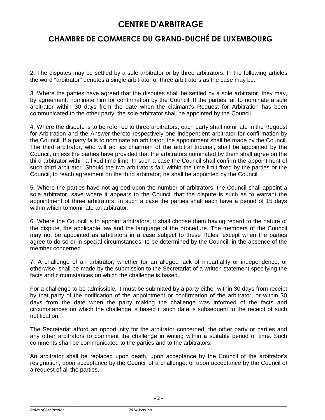### **CHAMBRE DE COMMERCE DU GRAND-DUCHÉ DE LUXEMBOURG**

2. The disputes may be settled by a sole arbitrator or by three arbitrators. In the following articles the word "arbitrator" denotes a single arbitrator or three arbitrators as the case may be.

3. Where the parties have agreed that the disputes shall be settled by a sole arbitrator, they may, by agreement, nominate him for confirmation by the Council. If the parties fail to nominate a sole arbitrator within 30 days from the date when the claimant's Request for Arbitration has been communicated to the other party, the sole arbitrator shall be appointed by the Council.

4. Where the dispute is to be referred to three arbitrators, each party shall nominate in the Request for Arbitration and the Answer thereto respectively one independent arbitrator for confirmation by the Council. If a party fails to nominate an arbitrator, the appointment shall be made by the Council. The third arbitrator, who will act as chairman of the arbitral tribunal, shall be appointed by the Council, unless the parties have provided that the arbitrators nominated by them shall agree on the third arbitrator within a fixed time limit. In such a case the Council shall confirm the appointment of such third arbitrator. Should the two arbitrators fail, within the time limit fixed by the parties or the Council, to reach agreement on the third arbitrator, he shall be appointed by the Council.

5. Where the parties have not agreed upon the number of arbitrators, the Council shall appoint a sole arbitrator, save where it appears to the Council that the dispute is such as to warrant the appointment of three arbitrators. In such a case the parties shall each have a period of 15 days within which to nominate an arbitrator.

6. Where the Council is to appoint arbitrators, it shall choose them having regard to the nature of the dispute, the applicable law and the language of the procedure. The members of the Council may not be appointed as arbitrators in a case subject to these Rules, except when the parties agree to do so or in special circumstances, to be determined by the Council, in the absence of the member concerned.

7. A challenge of an arbitrator, whether for an alleged lack of impartiality or independence, or otherwise, shall be made by the submission to the Secretariat of a written statement specifying the facts and circumstances on which the challenge is based.

For a challenge to be admissible, it must be submitted by a party either within 30 days from receipt by that party of the notification of the appointment or confirmation of the arbitrator, or within 30 days from the date when the party making the challenge was informed of the facts and circumstances on which the challenge is based if such date is subsequent to the receipt of such notification.

The Secretariat afford an opportunity for the arbitrator concerned, the other party or parties and any other arbitrators to comment the challenge in writing within a suitable period of time. Such comments shall be communicated to the parties and to the arbitrators.

An arbitrator shall be replaced upon death, upon acceptance by the Council of the arbitrator's resignation, upon acceptance by the Council of a challenge, or upon acceptance by the Council of a request of all the parties.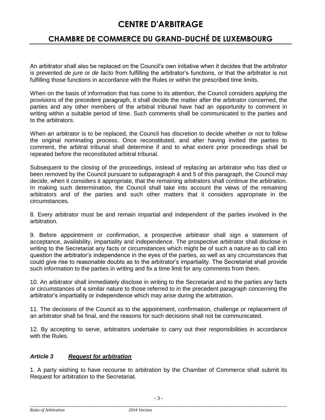# **CHAMBRE DE COMMERCE DU GRAND-DUCHÉ DE LUXEMBOURG**

An arbitrator shall also be replaced on the Council's own initiative when it decides that the arbitrator is prevented *de jure* or *de facto* from fulfilling the arbitrator's functions, or that the arbitrator is not fulfilling those functions in accordance with the Rules or within the prescribed time limits.

When on the basis of information that has come to its attention, the Council considers applying the provisions of the precedent paragraph, it shall decide the matter after the arbitrator concerned, the parties and any other members of the arbitral tribunal have had an opportunity to comment in writing within a suitable period of time. Such comments shall be communicated to the parties and to the arbitrators.

When an arbitrator is to be replaced, the Council has discretion to decide whether or not to follow the original nominating process. Once reconstituted, and after having invited the parties to comment, the arbitral tribunal shall determine if and to what extent prior proceedings shall be repeated before the reconstituted arbitral tribunal.

Subsequent to the closing of the proceedings, instead of replacing an arbitrator who has died or been removed by the Council pursuant to subparagraph 4 and 5 of this paragraph, the Council may decide, when it considers it appropriate, that the remaining arbitrators shall continue the arbitration. In making such determination, the Council shall take into account the views of the remaining arbitrators and of the parties and such other matters that it considers appropriate in the circumstances.

8. Every arbitrator must be and remain impartial and independent of the parties involved in the arbitration.

9. Before appointment or confirmation, a prospective arbitrator shall sign a statement of acceptance, availability, impartiality and independence. The prospective arbitrator shall disclose in writing to the Secretariat any facts or circumstances which might be of such a nature as to call into question the arbitrator's independence in the eyes of the parties, as well as any circumstances that could give rise to reasonable doubts as to the arbitrator's impartiality. The Secretariat shall provide such information to the parties in writing and fix a time limit for any comments from them.

10. An arbitrator shall immediately disclose in writing to the Secretariat and to the parties any facts or circumstances of a similar nature to those referred to in the precedent paragraph concerning the arbitrator's impartiality or independence which may arise during the arbitration.

11. The decisions of the Council as to the appointment, confirmation, challenge or replacement of an arbitrator shall be final, and the reasons for such decisions shall not be communicated.

12. By accepting to serve, arbitrators undertake to carry out their responsibilities in accordance with the Rules.

#### *Article 3 Request for arbitration*

1. A party wishing to have recourse to arbitration by the Chamber of Commerce shall submit its Request for arbitration to the Secretariat.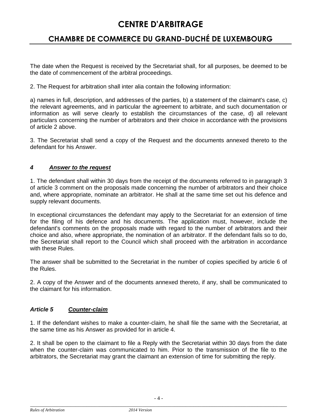# **CHAMBRE DE COMMERCE DU GRAND-DUCHÉ DE LUXEMBOURG**

The date when the Request is received by the Secretariat shall, for all purposes, be deemed to be the date of commencement of the arbitral proceedings.

2. The Request for arbitration shall inter alia contain the following information:

a) names in full, description, and addresses of the parties, b) a statement of the claimant's case, c) the relevant agreements, and in particular the agreement to arbitrate, and such documentation or information as will serve clearly to establish the circumstances of the case, d) all relevant particulars concerning the number of arbitrators and their choice in accordance with the provisions of article 2 above.

3. The Secretariat shall send a copy of the Request and the documents annexed thereto to the defendant for his Answer.

### *4 Answer to the request*

1. The defendant shall within 30 days from the receipt of the documents referred to in paragraph 3 of article 3 comment on the proposals made concerning the number of arbitrators and their choice and, where appropriate, nominate an arbitrator. He shall at the same time set out his defence and supply relevant documents.

In exceptional circumstances the defendant may apply to the Secretariat for an extension of time for the filing of his defence and his documents. The application must, however, include the defendant's comments on the proposals made with regard to the number of arbitrators and their choice and also, where appropriate, the nomination of an arbitrator. If the defendant fails so to do, the Secretariat shall report to the Council which shall proceed with the arbitration in accordance with these Rules.

The answer shall be submitted to the Secretariat in the number of copies specified by article 6 of the Rules.

2. A copy of the Answer and of the documents annexed thereto, if any, shall be communicated to the claimant for his information.

### *Article 5 Counter-claim*

1. If the defendant wishes to make a counter-claim, he shall file the same with the Secretariat, at the same time as his Answer as provided for in article 4.

2. It shall be open to the claimant to file a Reply with the Secretariat within 30 days from the date when the counter-claim was communicated to him. Prior to the transmission of the file to the arbitrators, the Secretariat may grant the claimant an extension of time for submitting the reply.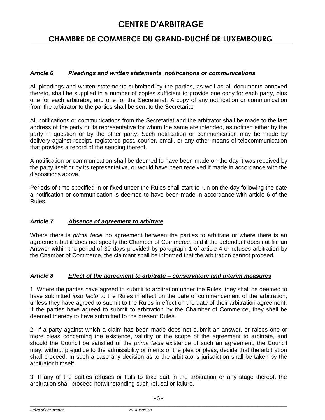### **CHAMBRE DE COMMERCE DU GRAND-DUCHÉ DE LUXEMBOURG**

#### *Article 6 Pleadings and written statements, notifications or communications*

All pleadings and written statements submitted by the parties, as well as all documents annexed thereto, shall be supplied in a number of copies sufficient to provide one copy for each party, plus one for each arbitrator, and one for the Secretariat. A copy of any notification or communication from the arbitrator to the parties shall be sent to the Secretariat.

All notifications or communications from the Secretariat and the arbitrator shall be made to the last address of the party or its representative for whom the same are intended, as notified either by the party in question or by the other party. Such notification or communication may be made by delivery against receipt, registered post, courier, email, or any other means of telecommunication that provides a record of the sending thereof.

A notification or communication shall be deemed to have been made on the day it was received by the party itself or by its representative, or would have been received if made in accordance with the dispositions above.

Periods of time specified in or fixed under the Rules shall start to run on the day following the date a notification or communication is deemed to have been made in accordance with article 6 of the Rules.

### *Article 7 Absence of agreement to arbitrate*

Where there is *prima facie* no agreement between the parties to arbitrate or where there is an agreement but it does not specify the Chamber of Commerce, and if the defendant does not file an Answer within the period of 30 days provided by paragraph 1 of article 4 or refuses arbitration by the Chamber of Commerce, the claimant shall be informed that the arbitration cannot proceed.

#### *Article 8 Effect of the agreement to arbitrate – conservatory and interim measures*

1. Where the parties have agreed to submit to arbitration under the Rules, they shall be deemed to have submitted *ipso facto* to the Rules in effect on the date of commencement of the arbitration, unless they have agreed to submit to the Rules in effect on the date of their arbitration agreement. If the parties have agreed to submit to arbitration by the Chamber of Commerce, they shall be deemed thereby to have submitted to the present Rules.

2. If a party against which a claim has been made does not submit an answer, or raises one or more pleas concerning the existence, validity or the scope of the agreement to arbitrate, and should the Council be satisfied of the *prima facie* existence of such an agreement, the Council may, without prejudice to the admissibility or merits of the plea or pleas, decide that the arbitration shall proceed. In such a case any decision as to the arbitrator's jurisdiction shall be taken by the arbitrator himself.

3. If any of the parties refuses or fails to take part in the arbitration or any stage thereof, the arbitration shall proceed notwithstanding such refusal or failure.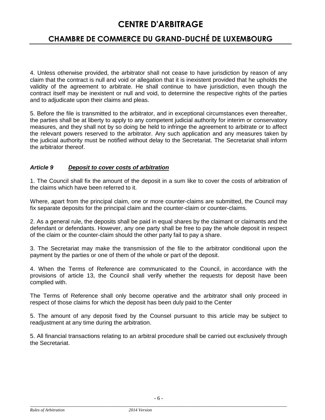# **CHAMBRE DE COMMERCE DU GRAND-DUCHÉ DE LUXEMBOURG**

4. Unless otherwise provided, the arbitrator shall not cease to have jurisdiction by reason of any claim that the contract is null and void or allegation that it is inexistent provided that he upholds the validity of the agreement to arbitrate. He shall continue to have jurisdiction, even though the contract itself may be inexistent or null and void, to determine the respective rights of the parties and to adjudicate upon their claims and pleas.

5. Before the file is transmitted to the arbitrator, and in exceptional circumstances even thereafter, the parties shall be at liberty to apply to any competent judicial authority for interim or conservatory measures, and they shall not by so doing be held to infringe the agreement to arbitrate or to affect the relevant powers reserved to the arbitrator. Any such application and any measures taken by the judicial authority must be notified without delay to the Secretariat. The Secretariat shall inform the arbitrator thereof.

#### *Article 9 Deposit to cover costs of arbitration*

1. The Council shall fix the amount of the deposit in a sum like to cover the costs of arbitration of the claims which have been referred to it.

Where, apart from the principal claim, one or more counter-claims are submitted, the Council may fix separate deposits for the principal claim and the counter-claim or counter-claims.

2. As a general rule, the deposits shall be paid in equal shares by the claimant or claimants and the defendant or defendants. However, any one party shall be free to pay the whole deposit in respect of the claim or the counter-claim should the other party fail to pay a share.

3. The Secretariat may make the transmission of the file to the arbitrator conditional upon the payment by the parties or one of them of the whole or part of the deposit.

4. When the Terms of Reference are communicated to the Council, in accordance with the provisions of article 13, the Council shall verify whether the requests for deposit have been complied with.

The Terms of Reference shall only become operative and the arbitrator shall only proceed in respect of those claims for which the deposit has been duly paid to the Center

5. The amount of any deposit fixed by the Counsel pursuant to this article may be subject to readjustment at any time during the arbitration.

5. All financial transactions relating to an arbitral procedure shall be carried out exclusively through the Secretariat.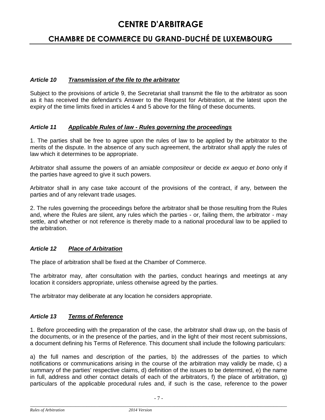# **CHAMBRE DE COMMERCE DU GRAND-DUCHÉ DE LUXEMBOURG**

### *Article 10 Transmission of the file to the arbitrator*

Subject to the provisions of article 9, the Secretariat shall transmit the file to the arbitrator as soon as it has received the defendant's Answer to the Request for Arbitration, at the latest upon the expiry of the time limits fixed in articles 4 and 5 above for the filing of these documents.

#### *Article 11 Applicable Rules of law - Rules governing the proceedings*

1. The parties shall be free to agree upon the rules of law to be applied by the arbitrator to the merits of the dispute. In the absence of any such agreement, the arbitrator shall apply the rules of law which it determines to be appropriate.

Arbitrator shall assume the powers of an *amiable compositeur* or decide *ex aequo et bono* only if the parties have agreed to give it such powers.

Arbitrator shall in any case take account of the provisions of the contract, if any, between the parties and of any relevant trade usages.

2. The rules governing the proceedings before the arbitrator shall be those resulting from the Rules and, where the Rules are silent, any rules which the parties - or, failing them, the arbitrator - may settle, and whether or not reference is thereby made to a national procedural law to be applied to the arbitration.

### *Article 12 Place of Arbitration*

The place of arbitration shall be fixed at the Chamber of Commerce.

The arbitrator may, after consultation with the parties, conduct hearings and meetings at any location it considers appropriate, unless otherwise agreed by the parties.

The arbitrator may deliberate at any location he considers appropriate.

#### *Article 13 Terms of Reference*

1. Before proceeding with the preparation of the case, the arbitrator shall draw up, on the basis of the documents, or in the presence of the parties, and in the light of their most recent submissions, a document defining his Terms of Reference. This document shall include the following particulars:

a) the full names and description of the parties, b) the addresses of the parties to which notifications or communications arising in the course of the arbitration may validly be made, c) a summary of the parties' respective claims, d) definition of the issues to be determined, e) the name in full, address and other contact details of each of the arbitrators, f) the place of arbitration, g) particulars of the applicable procedural rules and, if such is the case, reference to the power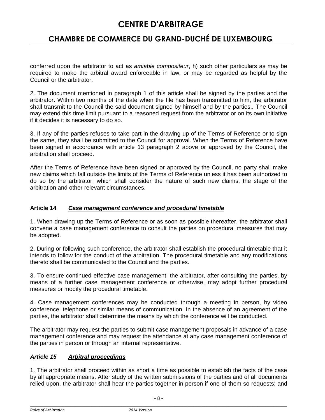### **CHAMBRE DE COMMERCE DU GRAND-DUCHÉ DE LUXEMBOURG**

conferred upon the arbitrator to act as *amiable compositeur*, h) such other particulars as may be required to make the arbitral award enforceable in law, or may be regarded as helpful by the Council or the arbitrator.

2. The document mentioned in paragraph 1 of this article shall be signed by the parties and the arbitrator. Within two months of the date when the file has been transmitted to him, the arbitrator shall transmit to the Council the said document signed by himself and by the parties.. The Council may extend this time limit pursuant to a reasoned request from the arbitrator or on its own initiative if it decides it is necessary to do so.

3. If any of the parties refuses to take part in the drawing up of the Terms of Reference or to sign the same, they shall be submitted to the Council for approval. When the Terms of Reference have been signed in accordance with article 13 paragraph 2 above or approved by the Council, the arbitration shall proceed.

After the Terms of Reference have been signed or approved by the Council, no party shall make new claims which fall outside the limits of the Terms of Reference unless it has been authorized to do so by the arbitrator, which shall consider the nature of such new claims, the stage of the arbitration and other relevant circumstances.

#### **Article 14** *Case management conference and procedural timetable*

1. When drawing up the Terms of Reference or as soon as possible thereafter, the arbitrator shall convene a case management conference to consult the parties on procedural measures that may be adopted.

2. During or following such conference, the arbitrator shall establish the procedural timetable that it intends to follow for the conduct of the arbitration. The procedural timetable and any modifications thereto shall be communicated to the Council and the parties.

3. To ensure continued effective case management, the arbitrator, after consulting the parties, by means of a further case management conference or otherwise, may adopt further procedural measures or modify the procedural timetable.

4. Case management conferences may be conducted through a meeting in person, by video conference, telephone or similar means of communication. In the absence of an agreement of the parties, the arbitrator shall determine the means by which the conference will be conducted.

The arbitrator may request the parties to submit case management proposals in advance of a case management conference and may request the attendance at any case management conference of the parties in person or through an internal representative.

### *Article 15 Arbitral proceedings*

1. The arbitrator shall proceed within as short a time as possible to establish the facts of the case by all appropriate means. After study of the written submissions of the parties and of all documents relied upon, the arbitrator shall hear the parties together in person if one of them so requests; and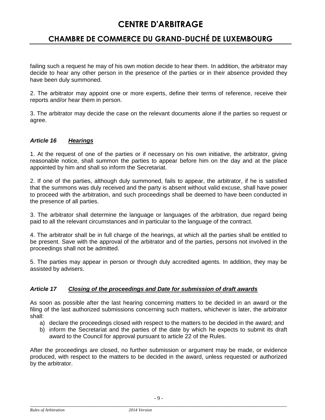# **CHAMBRE DE COMMERCE DU GRAND-DUCHÉ DE LUXEMBOURG**

failing such a request he may of his own motion decide to hear them. In addition, the arbitrator may decide to hear any other person in the presence of the parties or in their absence provided they have been duly summoned.

2. The arbitrator may appoint one or more experts, define their terms of reference, receive their reports and/or hear them in person.

3. The arbitrator may decide the case on the relevant documents alone if the parties so request or agree.

#### *Article 16 Hearings*

1. At the request of one of the parties or if necessary on his own initiative, the arbitrator, giving reasonable notice, shall summon the parties to appear before him on the day and at the place appointed by him and shall so inform the Secretariat.

2. If one of the parties, although duly summoned, fails to appear, the arbitrator, if he is satisfied that the summons was duly received and the party is absent without valid excuse, shall have power to proceed with the arbitration, and such proceedings shall be deemed to have been conducted in the presence of all parties.

3. The arbitrator shall determine the language or languages of the arbitration, due regard being paid to all the relevant circumstances and in particular to the language of the contract.

4. The arbitrator shall be in full charge of the hearings, at which all the parties shall be entitled to be present. Save with the approval of the arbitrator and of the parties, persons not involved in the proceedings shall not be admitted.

5. The parties may appear in person or through duly accredited agents. In addition, they may be assisted by advisers.

#### *Article 17 Closing of the proceedings and Date for submission of draft awards*

As soon as possible after the last hearing concerning matters to be decided in an award or the filing of the last authorized submissions concerning such matters, whichever is later, the arbitrator shall:

- a) declare the proceedings closed with respect to the matters to be decided in the award; and
- b) inform the Secretariat and the parties of the date by which he expects to submit its draft award to the Council for approval pursuant to article 22 of the Rules.

After the proceedings are closed, no further submission or argument may be made, or evidence produced, with respect to the matters to be decided in the award, unless requested or authorized by the arbitrator.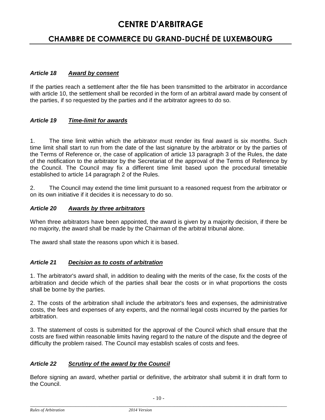### **CHAMBRE DE COMMERCE DU GRAND-DUCHÉ DE LUXEMBOURG**

#### *Article 18 Award by consent*

If the parties reach a settlement after the file has been transmitted to the arbitrator in accordance with article 10, the settlement shall be recorded in the form of an arbitral award made by consent of the parties, if so requested by the parties and if the arbitrator agrees to do so.

#### *Article 19 Time-limit for awards*

1. The time limit within which the arbitrator must render its final award is six months. Such time limit shall start to run from the date of the last signature by the arbitrator or by the parties of the Terms of Reference or, the case of application of article 13 paragraph 3 of the Rules, the date of the notification to the arbitrator by the Secretariat of the approval of the Terms of Reference by the Council. The Council may fix a different time limit based upon the procedural timetable established to article 14 paragraph 2 of the Rules.

2. The Council may extend the time limit pursuant to a reasoned request from the arbitrator or on its own initiative if it decides it is necessary to do so.

#### *Article 20 Awards by three arbitrators*

When three arbitrators have been appointed, the award is given by a majority decision, if there be no majority, the award shall be made by the Chairman of the arbitral tribunal alone.

The award shall state the reasons upon which it is based.

#### *Article 21 Decision as to costs of arbitration*

1. The arbitrator's award shall, in addition to dealing with the merits of the case, fix the costs of the arbitration and decide which of the parties shall bear the costs or in what proportions the costs shall be borne by the parties.

2. The costs of the arbitration shall include the arbitrator's fees and expenses, the administrative costs, the fees and expenses of any experts, and the normal legal costs incurred by the parties for arbitration.

3. The statement of costs is submitted for the approval of the Council which shall ensure that the costs are fixed within reasonable limits having regard to the nature of the dispute and the degree of difficulty the problem raised. The Council may establish scales of costs and fees.

#### *Article 22 Scrutiny of the award by the Council*

Before signing an award, whether partial or definitive, the arbitrator shall submit it in draft form to the Council.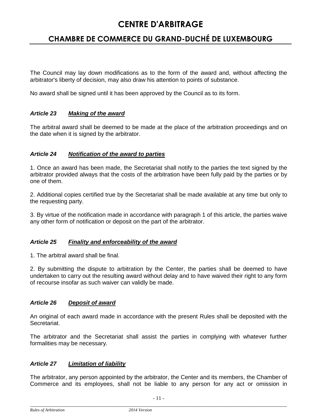### **CHAMBRE DE COMMERCE DU GRAND-DUCHÉ DE LUXEMBOURG**

The Council may lay down modifications as to the form of the award and, without affecting the arbitrator's liberty of decision, may also draw his attention to points of substance.

No award shall be signed until it has been approved by the Council as to its form.

#### *Article 23 Making of the award*

The arbitral award shall be deemed to be made at the place of the arbitration proceedings and on the date when it is signed by the arbitrator.

#### *Article 24 Notification of the award to parties*

1. Once an award has been made, the Secretariat shall notify to the parties the text signed by the arbitrator provided always that the costs of the arbitration have been fully paid by the parties or by one of them.

2. Additional copies certified true by the Secretariat shall be made available at any time but only to the requesting party.

3. By virtue of the notification made in accordance with paragraph 1 of this article, the parties waive any other form of notification or deposit on the part of the arbitrator.

#### *Article 25 Finality and enforceability of the award*

1. The arbitral award shall be final.

2. By submitting the dispute to arbitration by the Center, the parties shall be deemed to have undertaken to carry out the resulting award without delay and to have waived their right to any form of recourse insofar as such waiver can validly be made.

#### *Article 26 Deposit of award*

An original of each award made in accordance with the present Rules shall be deposited with the Secretariat.

The arbitrator and the Secretariat shall assist the parties in complying with whatever further formalities may be necessary.

### *Article 27 Limitation of liability*

The arbitrator, any person appointed by the arbitrator, the Center and its members, the Chamber of Commerce and its employees, shall not be liable to any person for any act or omission in